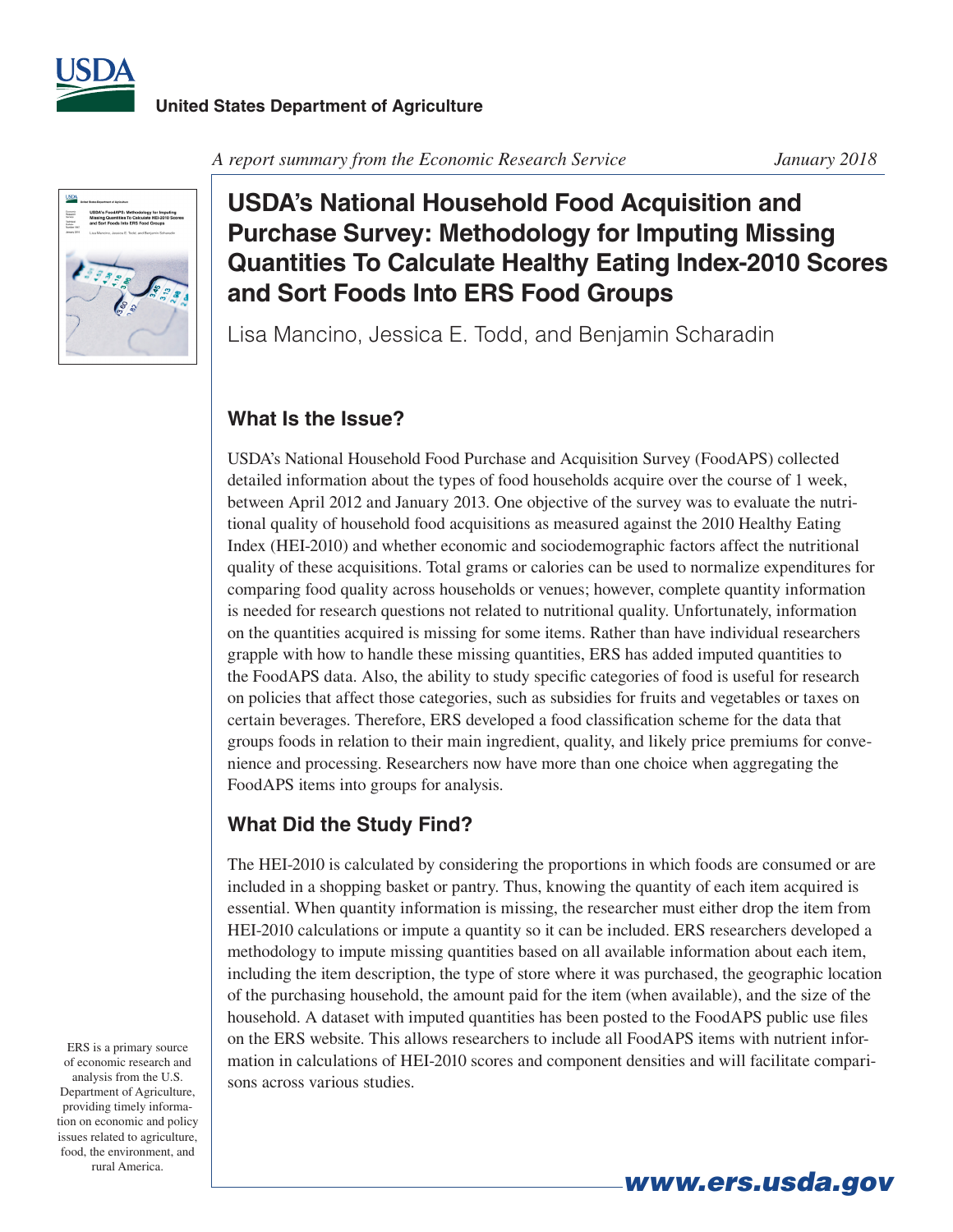



*A report summary from the Economic Research Service January 2018*

## **USDA's National Household Food Acquisition and Purchase Survey: Methodology for Imputing Missing Quantities To Calculate Healthy Eating Index-2010 Scores and Sort Foods Into ERS Food Groups**

Lisa Mancino, Jessica E. Todd, and Benjamin Scharadin

## **What Is the Issue?**

USDA's National Household Food Purchase and Acquisition Survey (FoodAPS) collected detailed information about the types of food households acquire over the course of 1 week, between April 2012 and January 2013. One objective of the survey was to evaluate the nutritional quality of household food acquisitions as measured against the 2010 Healthy Eating Index (HEI-2010) and whether economic and sociodemographic factors affect the nutritional quality of these acquisitions. Total grams or calories can be used to normalize expenditures for comparing food quality across households or venues; however, complete quantity information is needed for research questions not related to nutritional quality. Unfortunately, information on the quantities acquired is missing for some items. Rather than have individual researchers grapple with how to handle these missing quantities, ERS has added imputed quantities to the FoodAPS data. Also, the ability to study specific categories of food is useful for research on policies that affect those categories, such as subsidies for fruits and vegetables or taxes on certain beverages. Therefore, ERS developed a food classification scheme for the data that groups foods in relation to their main ingredient, quality, and likely price premiums for convenience and processing. Researchers now have more than one choice when aggregating the FoodAPS items into groups for analysis.

## **What Did the Study Find?**

The HEI-2010 is calculated by considering the proportions in which foods are consumed or are included in a shopping basket or pantry. Thus, knowing the quantity of each item acquired is essential. When quantity information is missing, the researcher must either drop the item from HEI-2010 calculations or impute a quantity so it can be included. ERS researchers developed a methodology to impute missing quantities based on all available information about each item, including the item description, the type of store where it was purchased, the geographic location of the purchasing household, the amount paid for the item (when available), and the size of the household. A dataset with imputed quantities has been posted to the FoodAPS public use files on the ERS website. This allows researchers to include all FoodAPS items with nutrient information in calculations of HEI-2010 scores and component densities and will facilitate comparisons across various studies.

*www.ers.usda.gov*

ERS is a primary source of economic research and analysis from the U.S. Department of Agriculture, providing timely information on economic and policy issues related to agriculture, food, the environment, and rural America.